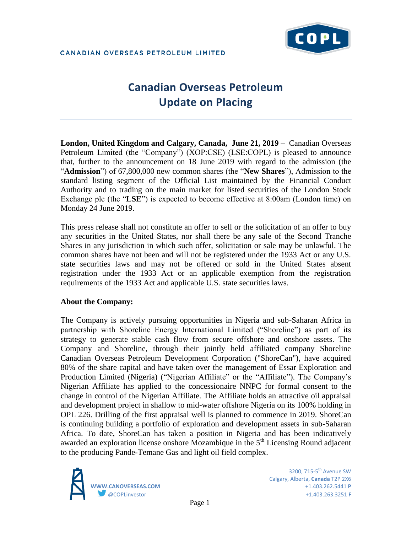# **Canadian Overseas Petroleum Update on Placing**

**London, United Kingdom and Calgary, Canada, June 21, 2019** – Canadian Overseas Petroleum Limited (the "Company") (XOP:CSE) (LSE:COPL) is pleased to announce that, further to the announcement on 18 June 2019 with regard to the admission (the "**Admission**") of 67,800,000 new common shares (the "**New Shares**"), Admission to the standard listing segment of the Official List maintained by the Financial Conduct Authority and to trading on the main market for listed securities of the London Stock Exchange plc (the "**LSE**") is expected to become effective at 8:00am (London time) on Monday 24 June 2019.

This press release shall not constitute an offer to sell or the solicitation of an offer to buy any securities in the United States, nor shall there be any sale of the Second Tranche Shares in any jurisdiction in which such offer, solicitation or sale may be unlawful. The common shares have not been and will not be registered under the 1933 Act or any U.S. state securities laws and may not be offered or sold in the United States absent registration under the 1933 Act or an applicable exemption from the registration requirements of the 1933 Act and applicable U.S. state securities laws.

### **About the Company:**

The Company is actively pursuing opportunities in Nigeria and sub-Saharan Africa in partnership with Shoreline Energy International Limited ("Shoreline") as part of its strategy to generate stable cash flow from secure offshore and onshore assets. The Company and Shoreline, through their jointly held affiliated company Shoreline Canadian Overseas Petroleum Development Corporation ("ShoreCan"), have acquired 80% of the share capital and have taken over the management of Essar Exploration and Production Limited (Nigeria) ("Nigerian Affiliate" or the "Affiliate"). The Company's Nigerian Affiliate has applied to the concessionaire NNPC for formal consent to the change in control of the Nigerian Affiliate. The Affiliate holds an attractive oil appraisal and development project in shallow to mid-water offshore Nigeria on its 100% holding in OPL 226. Drilling of the first appraisal well is planned to commence in 2019. ShoreCan is continuing building a portfolio of exploration and development assets in sub-Saharan Africa. To date, ShoreCan has taken a position in Nigeria and has been indicatively awarded an exploration license onshore Mozambique in the  $5<sup>th</sup>$  Licensing Round adjacent to the producing Pande-Temane Gas and light oil field complex.



3200. 715- $5<sup>th</sup>$  Avenue SW Calgary, Alberta, **Canada** T2P 2X6 **WWW.CANOVERSEAS.COM** +1.403.262.5441 **P** @COPLinvestor +1.403.263.3251 **F**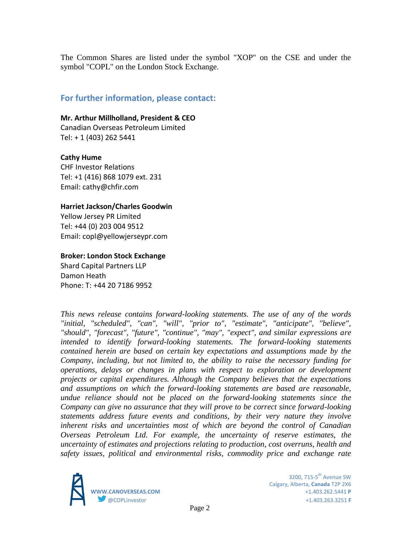The Common Shares are listed under the symbol "XOP" on the CSE and under the symbol "COPL" on the London Stock Exchange.

## **For further information, please contact:**

#### **Mr. Arthur Millholland, President & CEO**

Canadian Overseas Petroleum Limited Tel: + 1 (403) 262 5441

#### **Cathy Hume**

CHF Investor Relations Tel: +1 (416) 868 1079 ext. 231 Email: cathy@chfir.com

#### **Harriet Jackson/Charles Goodwin**

Yellow Jersey PR Limited Tel: +44 (0) 203 004 9512 Email: copl@yellowjerseypr.com

#### **Broker: London Stock Exchange**

Shard Capital Partners LLP Damon Heath Phone: T: +44 20 7186 9952

*This news release contains forward-looking statements. The use of any of the words "initial, "scheduled", "can", "will", "prior to", "estimate", "anticipate", "believe", "should", "forecast", "future", "continue", "may", "expect", and similar expressions are intended to identify forward-looking statements. The forward-looking statements contained herein are based on certain key expectations and assumptions made by the Company, including, but not limited to, the ability to raise the necessary funding for operations, delays or changes in plans with respect to exploration or development projects or capital expenditures. Although the Company believes that the expectations and assumptions on which the forward-looking statements are based are reasonable, undue reliance should not be placed on the forward-looking statements since the Company can give no assurance that they will prove to be correct since forward-looking statements address future events and conditions, by their very nature they involve inherent risks and uncertainties most of which are beyond the control of Canadian Overseas Petroleum Ltd. For example, the uncertainty of reserve estimates, the uncertainty of estimates and projections relating to production, cost overruns, health and safety issues, political and environmental risks, commodity price and exchange rate*